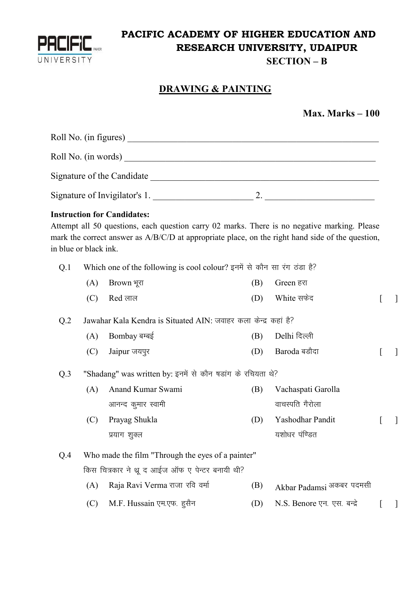

## **PACIFIC ACADEMY OF HIGHER EDUCATION AND RESEARCH UNIVERSITY, UDAIPUR**

**SECTION – B**

## **DRAWING & PAINTING**

|  | Max. Marks $-100$ |  |
|--|-------------------|--|
|--|-------------------|--|

|                 | in blue or black ink. | <b>Instruction for Candidates:</b><br>Attempt all 50 questions, each question carry 02 marks. There is no negative marking. Please<br>mark the correct answer as A/B/C/D at appropriate place, on the right hand side of the question, |     |                             |                          |
|-----------------|-----------------------|----------------------------------------------------------------------------------------------------------------------------------------------------------------------------------------------------------------------------------------|-----|-----------------------------|--------------------------|
| Q.1             |                       | Which one of the following is cool colour? इनमें से कौन सा रंग ठंडा है?                                                                                                                                                                |     |                             |                          |
|                 | (A)                   | Brown भूरा                                                                                                                                                                                                                             | (B) | Green हरा                   |                          |
|                 | (C)                   | Red लाल                                                                                                                                                                                                                                | (D) | White सफेद                  | $\overline{\phantom{a}}$ |
| Q <sub>.2</sub> |                       | Jawahar Kala Kendra is Situated AIN: जवाहर कला केन्द्र कहां है?                                                                                                                                                                        |     |                             |                          |
|                 | (A)                   | Bombay बम्बई                                                                                                                                                                                                                           | (B) | Delhi दिल्ली                |                          |
|                 | (C)                   | Jaipur जयपुर                                                                                                                                                                                                                           | (D) | Baroda बडौदा                |                          |
| Q.3             |                       | "Shadang" was written by: इनमें से कौन षड़ांग के रचियता थे?                                                                                                                                                                            |     |                             |                          |
|                 | (A)                   | Anand Kumar Swami                                                                                                                                                                                                                      | (B) | Vachaspati Garolla          |                          |
|                 |                       | आनन्द कुमार स्वामी                                                                                                                                                                                                                     |     | वाचस्पति गैरोला             |                          |
|                 | (C)                   | Prayag Shukla                                                                                                                                                                                                                          | (D) | Yashodhar Pandit            |                          |
|                 |                       | प्रयाग शुक्ल                                                                                                                                                                                                                           |     | यशोधर पंण्डित               |                          |
| Q.4             |                       | Who made the film "Through the eyes of a painter"                                                                                                                                                                                      |     |                             |                          |
|                 |                       | किस चित्रकार ने थ्रू द आईज ऑफ ए पेन्टर बनायी थी?                                                                                                                                                                                       |     |                             |                          |
|                 | (A)                   | Raja Ravi Verma राजा रवि वर्मा                                                                                                                                                                                                         | (B) | Akbar Padamsi अकबर पदमसी    |                          |
|                 | (C)                   | M.F. Hussain एम.एफ. हुसैन                                                                                                                                                                                                              | (D) | N.S. Benore एन. एस. बन्द्रे |                          |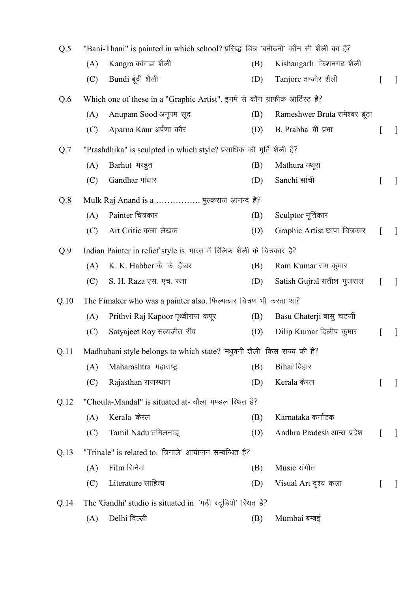| Q.5  |     | "Bani-Thani" is painted in which school? प्रसिद्ध चित्र 'बनीठनी' कौन सी शैली का है? |     |                                  |   |              |  |  |  |  |
|------|-----|-------------------------------------------------------------------------------------|-----|----------------------------------|---|--------------|--|--|--|--|
|      | (A) | Kangra कांगडा शैली                                                                  | (B) | Kishangarh किशनगढ शैली           |   |              |  |  |  |  |
|      | (C) | Bundi बूंदी शैली                                                                    | (D) | Tanjore तन्जोर शैली              |   | $\perp$      |  |  |  |  |
| Q.6  |     | Which one of these in a "Graphic Artist". इनमें से कौन ग्राफीक आर्टिस्ट है?         |     |                                  |   |              |  |  |  |  |
|      | (A) | Anupam Sood अनूपम सूद                                                               | (B) | Rameshwer Bruta रामेश्वर ब्रूंटा |   |              |  |  |  |  |
|      | (C) | Aparna Kaur अर्पणा कौर                                                              | (D) | B. Prabha बी प्रभा               |   | $\perp$      |  |  |  |  |
| Q.7  |     | "Prashdhika" is sculpted in which style? प्रसाधिक की मूर्ति शैली है?                |     |                                  |   |              |  |  |  |  |
|      | (A) | Barhut भरहुत                                                                        | (B) | Mathura मथूरा                    |   |              |  |  |  |  |
|      | (C) | Gandhar गांधार                                                                      | (D) | Sanchi झांची                     |   | $\perp$      |  |  |  |  |
| Q.8  |     | Mulk Raj Anand is a  मुल्कराज आनन्द है?                                             |     |                                  |   |              |  |  |  |  |
|      | (A) | Painter चित्रकार                                                                    | (B) | Sculptor मूर्तिकार               |   |              |  |  |  |  |
|      | (C) | Art Critic कला लेखक                                                                 | (D) | Graphic Artist छापा चित्रकार     |   | J            |  |  |  |  |
| Q.9  |     | Indian Painter in relief style is. भारत में रिलिफ शैली के चित्रकार है?              |     |                                  |   |              |  |  |  |  |
|      | (A) | K. K. Habber के. के. हैब्बर                                                         | (B) | Ram Kumar राम कुमार              |   |              |  |  |  |  |
|      | (C) | S. H. Raza एस. एच. रजा                                                              | (D) | Satish Gujral सतीश गुजराल        |   | $\perp$      |  |  |  |  |
| Q.10 |     | The Fimaker who was a painter also. फिल्मकार चित्रण भी करता था?                     |     |                                  |   |              |  |  |  |  |
|      | (A) | Prithvi Raj Kapoor पृथ्वीराज कपूर                                                   | (B) | Basu Chaterji बासु चटर्जी        |   |              |  |  |  |  |
|      | (C) | Satyajeet Roy सत्यजीत रॉय                                                           | (D) | Dilip Kumar दिलीप कुमार          |   | $\perp$      |  |  |  |  |
| Q.11 |     | Madhubani style belongs to which state? 'मधुबनी शैली' किस राज्य की है?              |     |                                  |   |              |  |  |  |  |
|      | (A) | Maharashtra महाराष्ट्र                                                              | (B) | Bihar बिहार                      |   |              |  |  |  |  |
|      | (C) | Rajasthan राजस्थान                                                                  | (D) | Kerala केरल                      | L | $\mathbf{I}$ |  |  |  |  |
| Q.12 |     | "Choula-Mandal" is situated at- चौला मण्डल स्थित है?                                |     |                                  |   |              |  |  |  |  |
|      | (A) | Kerala केरल                                                                         | (B) | Karnataka कर्नाटक                |   |              |  |  |  |  |
|      | (C) | Tamil Nadu तमिलनाडू                                                                 | (D) | Andhra Pradesh आन्ध्र प्रदेश     |   | $\mathbf{1}$ |  |  |  |  |
| Q.13 |     | "Trinale" is related to. 'त्रिनाले' आयोजन सम्बन्धित है?                             |     |                                  |   |              |  |  |  |  |
|      | (A) | Film सिनेमा                                                                         | (B) | Music संगीत                      |   |              |  |  |  |  |
|      | (C) | Literature साहित्य                                                                  | (D) | Visual Art दृश्य कला             |   | $\mathbf{I}$ |  |  |  |  |
| Q.14 |     | The 'Gandhi' studio is situated in 'गढ़ी स्टूडियो' स्थित है?                        |     |                                  |   |              |  |  |  |  |
|      | (A) | Delhi दिल्ली                                                                        | (B) | Mumbai बम्बई                     |   |              |  |  |  |  |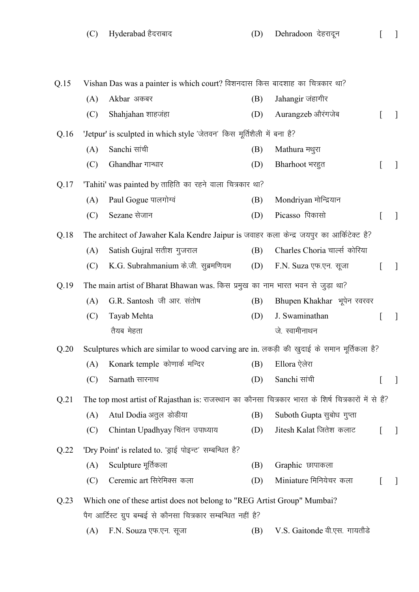Q.15 Vishan Das was a painter is which court? विशनदास किस बादशाह का चित्रकार था? (A) Akbar अकबर (B) Jahangir जंहागीर  $(C)$  Shahjahan शाहजंहा  $(D)$  Aurangzeb औरंगजेब [ ]  $Q.16$  'Jetpur' is sculpted in which style 'जेतवन' किस मूर्तिशैली में बना है? (A) Sanchi सांची (B) Mathura मथुरा  $(C)$  Ghandhar गान्धार  $(D)$  Bharhoot भरहूत [ ]  $Q.17$  'Tahiti' was painted by ताहिति का रहने वाला चित्रकार था? (A) Paul Gogue पालगोग्वं (B) Mondriyan मोन्द्रियान (C) Sezane सेजान (D) Picasso पिकासो [ ] Q.18 The architect of Jawaher Kala Kendre Jaipur is जवाहर कला केन्द्र जयपुर का आर्किटेक्ट है? (A) Satish Gujral सतीश गुजराल (B) Charles Choria चार्ल्स कोरिया (C) K.G. Subrahmanium के.जी. सूब्रमणियम (D) F.N. Suza एफ.एन. सूजा [ ] Q.19 The main artist of Bharat Bhawan was. किस प्रमुख का नाम भारत भवन से जुड़ा था? (A) G.R. Santosh जी आर. संतोष (B) Bhupen Khakhar भूपेन रवरवर (C) Tayab Mehta तैयब मेहता (D) J. Swaminathan जे. स्वामीनाथन  $[$   $]$ Q.20 Sculptures which are similar to wood carving are in. लकड़ी की खुदाई के समान मूर्तिकला है? (A) Konark temple कोणार्क मन्दिर (B) Ellora ऐलेरा  $(C)$  Sarnath सारनाथ  $(D)$  Sanchi सांची Q.21 The top most artist of Rajasthan is: राजस्थान का कौनसा चित्रकार भारत के शिर्ष चित्रकारों में से हैं? (A) Atul Dodia अतूल डोडीया (B) Suboth Gupta सूबोध गुप्ता  $(C)$  Chintan Upadhyay चिंतन उपाध्याय  $(D)$  Jitesh Kalat जितेश कलाट [ ]  $Q.22$  'Dry Point' is related to. 'ड्राई पोइन्ट' सम्बन्धित है? (A) Sculpture मूर्तिकला (B) Graphic छापाकला (C) Ceremic art सिरेमिक्स कला  $(D)$  Miniature मिनियेचर कला [ ] Q.23 Which one of these artist does not belong to "REG Artist Group" Mumbai? पैग आर्टिस्ट ग्रुप बम्बई से कौनसा चित्रकार सम्बन्धित नहीं है?

(A) F.N. Souza एफ.एन. सूजा (B) V.S. Gaitonde वी.एस. गायतौडे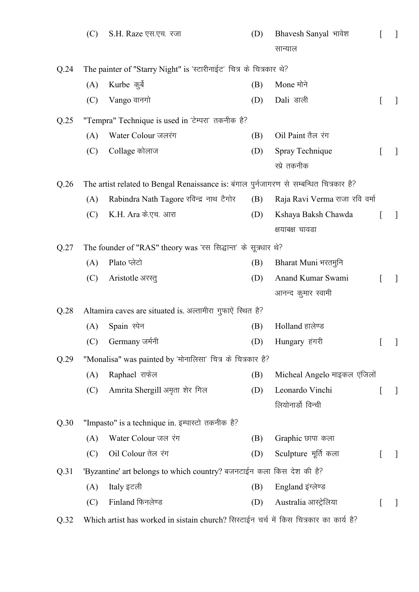|      | (C) | S.H. Raze एस.एच. रजा                                                                    | (D) | Bhavesh Sanyal भावेश           |                                       | $\perp$ |
|------|-----|-----------------------------------------------------------------------------------------|-----|--------------------------------|---------------------------------------|---------|
|      |     |                                                                                         |     | सान्याल                        |                                       |         |
| Q.24 |     | The painter of "Starry Night" is 'स्टारीनाईट' चित्र के चित्रकार थे?                     |     |                                |                                       |         |
|      | (A) | Kurbe कुर्बे                                                                            | (B) | Mone मोने                      |                                       |         |
|      | (C) | Vango वानगो                                                                             | (D) | Dali डाली                      |                                       | T       |
| Q.25 |     | "Tempra" Technique is used in 'टेम्परा' तकनीक है?                                       |     |                                |                                       |         |
|      | (A) | Water Colour जलरंग                                                                      | (B) | Oil Paint तैल रंग              |                                       |         |
|      | (C) | Collage कोलाज                                                                           | (D) | Spray Technique                |                                       | -1      |
|      |     |                                                                                         |     | स्प्रे तकनीक                   |                                       |         |
| Q.26 |     | The artist related to Bengal Renaissance is: बंगाल पुर्नजागरण से सम्बन्धित चित्रकार है? |     |                                |                                       |         |
|      | (A) | Rabindra Nath Tagore रविन्द्र नाथ टैगोर                                                 | (B) | Raja Ravi Verma राजा रवि वर्मा |                                       |         |
|      | (C) | K.H. Ara के.एच. आरा                                                                     | (D) | Kshaya Baksh Chawda            |                                       | $\perp$ |
|      |     |                                                                                         |     | क्षयाबक्ष चावडा                |                                       |         |
| Q.27 |     | The founder of "RAS" theory was 'रस सिद्धान्त' के सूत्रधार थे?                          |     |                                |                                       |         |
|      | (A) | Plato प्लेटो                                                                            | (B) | Bharat Muni भरतमुनि            |                                       |         |
|      | (C) | Aristotle अरस्तु                                                                        | (D) | Anand Kumar Swami              |                                       | -1      |
|      |     |                                                                                         |     | आनन्द कुमार स्वामी             |                                       |         |
| Q.28 |     | Altamira caves are situated is. अल्तामीरा गुफाएें स्थित है?                             |     |                                |                                       |         |
|      | (A) | Spain स्पेन                                                                             | (B) | Holland हालेण्ड                |                                       |         |
|      |     | (C) Germany जर्मनी                                                                      |     | (D) Hungary हंगरी              | $\begin{bmatrix} 1 & 1 \end{bmatrix}$ |         |
| Q.29 |     | "Monalisa" was painted by 'मोनालिसा' चित्र के चित्रकार है?                              |     |                                |                                       |         |
|      | (A) | Raphael राफेल                                                                           | (B) | Micheal Angelo माइकल एंजिलों   |                                       |         |
|      | (C) | Amrita Shergill अमृता शेर गिल                                                           | (D) | Leonardo Vinchi                |                                       | $\perp$ |
|      |     |                                                                                         |     | लियोनार्डो विन्ची              |                                       |         |
| Q.30 |     | "Impasto" is a technique in. इम्पास्टो तकनीक है?                                        |     |                                |                                       |         |
|      | (A) | Water Colour जल रंग                                                                     | (B) | Graphic छापा कला               |                                       |         |
|      | (C) | Oil Colour तेल रंग                                                                      | (D) | Sculpture मूर्ति कला           |                                       | $\perp$ |
| Q.31 |     | 'Byzantine' art belongs to which country? बजनटाईन कला किस देश की है?                    |     |                                |                                       |         |
|      | (A) | Italy इटली                                                                              | (B) | England इंग्लेण्ड              |                                       |         |
|      | (C) | Finland फिनलेण्ड                                                                        | (D) | Australia आस्ट्रेलिया          |                                       | -       |
| Q.32 |     | Which artist has worked in sistain church? सिस्टाईन चर्च में किस चित्रकार का कार्य है?  |     |                                |                                       |         |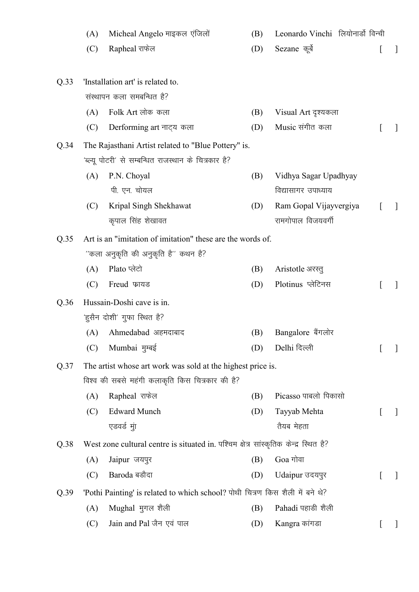|      | (A) | Micheal Angelo माइकल एंजिलों                                                          | (B) | Leonardo Vinchi लियोनार्डी विन्ची |   |                          |
|------|-----|---------------------------------------------------------------------------------------|-----|-----------------------------------|---|--------------------------|
|      | (C) | Rapheal राफेल                                                                         | (D) | Sezane कूर्बे                     | L | $\perp$                  |
|      |     |                                                                                       |     |                                   |   |                          |
| Q.33 |     | 'Installation art' is related to.                                                     |     |                                   |   |                          |
|      |     | संस्थापन कला समबन्धित है?                                                             |     |                                   |   |                          |
|      | (A) | Folk Art लोक कला                                                                      | (B) | Visual Art दृश्यकला               |   |                          |
|      | (C) | Derforming art नाट्य कला                                                              | (D) | Music संगीत कला                   | L | -1                       |
| Q.34 |     | The Rajasthani Artist related to "Blue Pottery" is.                                   |     |                                   |   |                          |
|      |     | 'ब्ल्यू पोटरी' से सम्बन्धित राजस्थान के चित्रकार है?                                  |     |                                   |   |                          |
|      | (A) | P.N. Choyal                                                                           | (B) | Vidhya Sagar Upadhyay             |   |                          |
|      |     | पी. एन. चोयल                                                                          |     | विद्यासागर उपाध्याय               |   |                          |
|      | (C) | Kripal Singh Shekhawat                                                                | (D) | Ram Gopal Vijayvergiya            |   |                          |
|      |     | कृपाल सिंह शेखावत                                                                     |     | रामगोपाल विजयवर्गी                |   |                          |
| Q.35 |     | Art is an "imitation of imitation" these are the words of.                            |     |                                   |   |                          |
|      |     | ''कला अनुकृति की अनुकृति है'' कथन है?                                                 |     |                                   |   |                          |
|      | (A) | Plato प्लेटो                                                                          | (B) | Aristotle अरस्तु                  |   |                          |
|      | (C) | Freud फायड                                                                            | (D) | Plotinus प्लेटिनस                 |   | $\overline{\phantom{a}}$ |
| Q.36 |     | Hussain-Doshi cave is in.                                                             |     |                                   |   |                          |
|      |     | 'हुसैन दोशी' गुफा स्थित है?                                                           |     |                                   |   |                          |
|      | (A) | Ahmedabad अहमदाबाद                                                                    | (B) | Bangalore बैंगलोर                 |   |                          |
|      | (C) | Mumbai मुम्बई                                                                         | (D) | Delhi दिल्ली                      |   |                          |
| Q.37 |     | The artist whose art work was sold at the highest price is.                           |     |                                   |   |                          |
|      |     | विश्व की सबसे महंगी कलाकृति किस चित्रकार की है?                                       |     |                                   |   |                          |
|      | (A) | Rapheal राफेल                                                                         | (B) | Picasso पाबलो पिकासो              |   |                          |
|      | (C) | <b>Edward Munch</b>                                                                   | (D) | Tayyab Mehta                      |   | -1                       |
|      |     | एडवर्ड मुा                                                                            |     | तैयब मेहता                        |   |                          |
| Q.38 |     | West zone cultural centre is situated in. पश्चिम क्षेत्र सांस्कृतिक केन्द्र स्थित है? |     |                                   |   |                          |
|      | (A) | Jaipur जयपुर                                                                          | (B) | Goa गोवा                          |   |                          |
|      | (C) | Baroda बडौदा                                                                          | (D) | Udaipur उदयपुर                    | t | -1                       |
| Q.39 |     | 'Pothi Painting' is related to which school? पोथी चित्रण किस शैली में बने थे?         |     |                                   |   |                          |
|      | (A) | Mughal मुगल शैली                                                                      | (B) | Pahadi पहाड़ी शैली                |   |                          |
|      | (C) | Jain and Pal जैन एवं पाल                                                              | (D) | Kangra कांगडा                     |   |                          |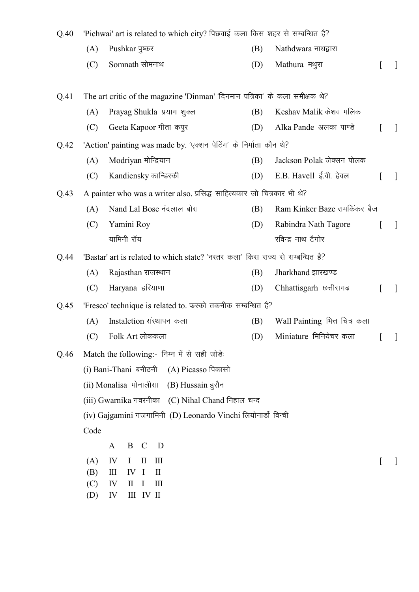| Q.40 | 'Pichwai' art is related to which city? पिछवाई कला किस शहर से सम्बन्धित है? |                                                                                |     |                               |   |               |
|------|-----------------------------------------------------------------------------|--------------------------------------------------------------------------------|-----|-------------------------------|---|---------------|
|      | (A)                                                                         | Pushkar पुष्कर                                                                 | (B) | Nathdwara नाथद्वारा           |   |               |
|      | (C)                                                                         | Somnath सोमनाथ                                                                 | (D) | Mathura मथुरा                 |   |               |
| Q.41 |                                                                             | The art critic of the magazine 'Dinman' 'दिनमान पत्रिका' के कला समीक्षक थे?    |     |                               |   |               |
|      | (A)                                                                         | Prayag Shukla प्रयाग शुक्ल                                                     | (B) | Keshav Malik केशव मलिक        |   |               |
|      | (C)                                                                         | Geeta Kapoor गीता कपुर                                                         | (D) | Alka Pande अलका पाण्डे        |   |               |
| Q.42 |                                                                             | 'Action' painting was made by. 'एक्शन पेटिंग' के निर्माता कौन थे?              |     |                               |   |               |
|      | (A)                                                                         | Modriyan मोन्द्रियान                                                           | (B) | Jackson Polak जेक्सन पोलक     |   |               |
|      | (C)                                                                         | Kandiensky कान्डिस्की                                                          | (D) | E.B. Havell ई.वी. हेवल        |   | $\mathbf{I}$  |
| Q.43 |                                                                             | A painter who was a writer also. प्रसिद्ध साहित्यकार जो चित्रकार भी थे?        |     |                               |   |               |
|      | (A)                                                                         | Nand Lal Bose नंदलाल बोस                                                       | (B) | Ram Kinker Baze रामकिंकर बैज  |   |               |
|      | (C)                                                                         | Yamini Roy                                                                     | (D) | Rabindra Nath Tagore          |   |               |
|      |                                                                             | यामिनी रॉय                                                                     |     | रविन्द्र नाथ टैगोर            |   |               |
| Q.44 |                                                                             | 'Bastar' art is related to which state? 'नस्तर कला' किस राज्य से सम्बन्धित है? |     |                               |   |               |
|      | (A)                                                                         | Rajasthan राजस्थान                                                             | (B) | Jharkhand झारखण्ड             |   |               |
|      | (C)                                                                         | Haryana हरियाणा                                                                | (D) | Chhattisgarh छत्तीसगढ         |   | $\mathcal{I}$ |
| Q.45 |                                                                             | 'Fresco' technique is related to. फरको तकनीक सम्बन्धित है?                     |     |                               |   |               |
|      | (A)                                                                         | Instaletion संस्थापन कला                                                       | (B) | Wall Painting भित्त चित्र कला |   |               |
|      | (C)                                                                         | Folk Art लोककला                                                                | (D) | Miniature मिनियेचर कला        |   | $\perp$       |
| Q.46 |                                                                             | Match the following:- निम्न में से सही जोड़े:                                  |     |                               |   |               |
|      |                                                                             | (i) Bani-Thani बनीठनी<br>(A) Picasso पिकासो                                    |     |                               |   |               |
|      |                                                                             | (ii) Monalisa मोनालीसा<br>(B) Hussain हुसैन                                    |     |                               |   |               |
|      |                                                                             | (iii) Gwarnika गवरनीका (C) Nihal Chand निहाल चन्द                              |     |                               |   |               |
|      |                                                                             | (iv) Gajgamini गजगामिनी (D) Leonardo Vinchi लियोनार्डो विन्ची                  |     |                               |   |               |
|      | Code                                                                        |                                                                                |     |                               |   |               |
|      |                                                                             | B<br>$\mathcal{C}$<br>$\overline{D}$<br>A                                      |     |                               |   |               |
|      | (A)                                                                         | IV<br>$\mathbf{I}$<br>$\mathop{\mathrm{III}}\nolimits$<br>I                    |     |                               | L |               |
|      | (B)                                                                         | Ш<br>I<br>IV<br>$\mathbf{I}$                                                   |     |                               |   |               |
|      | (C)<br>(D)                                                                  | IV<br>$\mathop{\mathrm{III}}\nolimits$<br>$\mathbf{I}$<br>I<br>IV<br>III IV II |     |                               |   |               |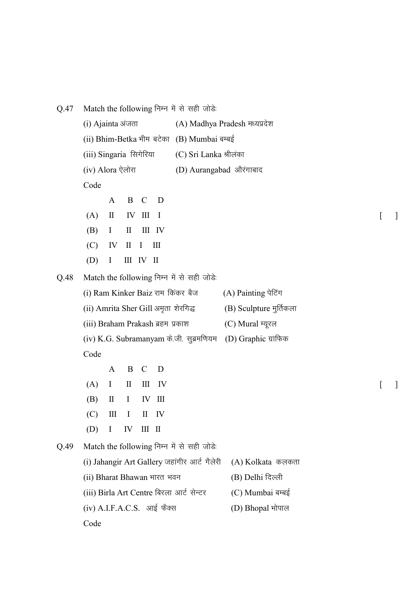| Q.47 | Match the following निम्न में से सही जोड़े: |              |                                 |                            |                                  |                                              |                        |                         |  |  |  |
|------|---------------------------------------------|--------------|---------------------------------|----------------------------|----------------------------------|----------------------------------------------|------------------------|-------------------------|--|--|--|
|      | (i) Ajainta अंजता                           |              |                                 |                            |                                  | (A) Madhya Pradesh मध्यप्रदेश                |                        |                         |  |  |  |
|      | (ii) Bhim-Betka भीम बटेका (B) Mumbai बम्बई  |              |                                 |                            |                                  |                                              |                        |                         |  |  |  |
|      | (iii) Singaria सिगेरिया                     |              |                                 |                            |                                  |                                              | (C) Sri Lanka श्रीलंका |                         |  |  |  |
|      | (iv) Alora ऐलोरा                            |              |                                 |                            |                                  | (D) Aurangabad औरंगाबाद                      |                        |                         |  |  |  |
|      | Code                                        |              |                                 |                            |                                  |                                              |                        |                         |  |  |  |
|      |                                             | A            | B                               | $\mathcal{C}$              | D                                |                                              |                        |                         |  |  |  |
|      | (A)                                         | $\mathbf{I}$ | IV                              | $\mathop{\rm III}$         | $\mathbf I$                      |                                              |                        |                         |  |  |  |
|      | (B)                                         | $\bf{I}$     | $\mathbf{I}$                    |                            | III IV                           |                                              |                        |                         |  |  |  |
|      | (C)                                         | IV           | $\mathop{\mathrm{II}}\nolimits$ | $\bf{I}$                   | $\mathop{\mathrm{III}}\nolimits$ |                                              |                        |                         |  |  |  |
|      | (D)                                         | $\bf{I}$     | Ш                               | $\mathop{\rm IV}\nolimits$ | $\mathbf{I}$                     |                                              |                        |                         |  |  |  |
| Q.48 |                                             |              |                                 |                            |                                  | Match the following निम्न में से सही जोड़े:  |                        |                         |  |  |  |
|      |                                             |              |                                 |                            |                                  | (i) Ram Kinker Baiz राम किंकर बैज            |                        | (A) Painting पेटिंग     |  |  |  |
|      |                                             |              |                                 |                            |                                  | (ii) Amrita Sher Gill अमृता शेरगिद्ध         |                        | (B) Sculpture मुर्तिकला |  |  |  |
|      | (iii) Braham Prakash ब्रहम प्रकाश           |              |                                 |                            |                                  |                                              |                        | (C) Mural म्यूरल        |  |  |  |
|      |                                             |              |                                 |                            |                                  | (iv) K.G. Subramanyam के.जी. सुब्रमणियम      |                        | (D) Graphic ग्राफिक     |  |  |  |
|      | Code                                        |              |                                 |                            |                                  |                                              |                        |                         |  |  |  |
|      |                                             | A            | B                               | $\mathcal{C}$              | D                                |                                              |                        |                         |  |  |  |
|      | (A)                                         | I            | П                               | Ш                          | IV                               |                                              |                        |                         |  |  |  |
|      | (B)                                         | $\mathbf{I}$ | $\bf{I}$                        | IV                         | Ш                                |                                              |                        |                         |  |  |  |
|      | (C)                                         | Ш            |                                 |                            | $II$ IV                          |                                              |                        |                         |  |  |  |
|      | (D)                                         | $\bf{l}$     | IV III II                       |                            |                                  |                                              |                        |                         |  |  |  |
| Q.49 |                                             |              |                                 |                            |                                  | Match the following निम्न में से सही जोड़े:  |                        |                         |  |  |  |
|      |                                             |              |                                 |                            |                                  | (i) Jahangir Art Gallery जहांगीर आर्ट गैलेरी |                        | (A) Kolkata कलकता       |  |  |  |
|      | (ii) Bharat Bhawan भारत भवन                 |              |                                 |                            |                                  |                                              |                        | (B) Delhi दिल्ली        |  |  |  |
|      |                                             |              |                                 |                            |                                  | (iii) Birla Art Centre बिरला आर्ट सेन्टर     |                        | (C) Mumbai बम्बई        |  |  |  |
|      | (iv) A.I.F.A.C.S. आई फैक्स                  |              |                                 |                            |                                  |                                              |                        | (D) Bhopal भोपाल        |  |  |  |
|      | Code                                        |              |                                 |                            |                                  |                                              |                        |                         |  |  |  |
|      |                                             |              |                                 |                            |                                  |                                              |                        |                         |  |  |  |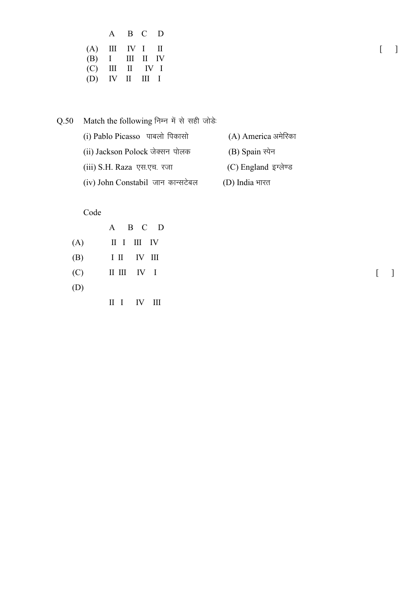|     | A                       |               | B C                                              | D      |
|-----|-------------------------|---------------|--------------------------------------------------|--------|
| (A) |                         | $III$ IV I II |                                                  |        |
| (B) | I                       |               | III II IV                                        |        |
| (C) | Ш                       |               | $\mathbf{I} \qquad \mathbf{IV} \quad \mathbf{I}$ |        |
| (D) | $\mathbf{I} \mathbf{V}$ | $\mathbf{H}$  | HI.                                              | $\Box$ |

 $Q.50$  Match the following निम्न में से सही जोड़े: (i) Pablo Picasso पाबलो पिकासो (A) America अमेरिका (ii) Jackson Polock जेक्सन पोलक (B) Spain स्पेन  $(iii)$  S.H. Raza एस.एच. रजा  $(C)$  England इग्लेण्ड (iv) John Constabil जान कान्सटेबल (D) India भारत

Code

|     | A B C D           |                                       |
|-----|-------------------|---------------------------------------|
|     | $(A)$ II I III IV |                                       |
|     | $(B)$ I II IV III |                                       |
|     | $(C)$ II III IV I | $\begin{bmatrix} 1 & 1 \end{bmatrix}$ |
| (D) |                   |                                       |

II I IV III

[ ]